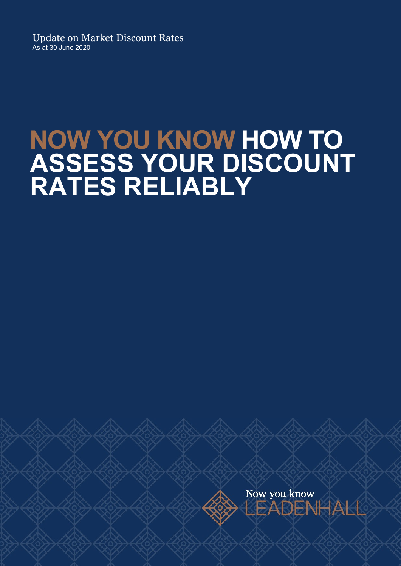Update on Market Discount Rates As at 30 June 2020

# NOW YOU KNOW HOW TO ASSESS YOUR DISCOUNT RATES RELIABLY

Now you know EADENHAKK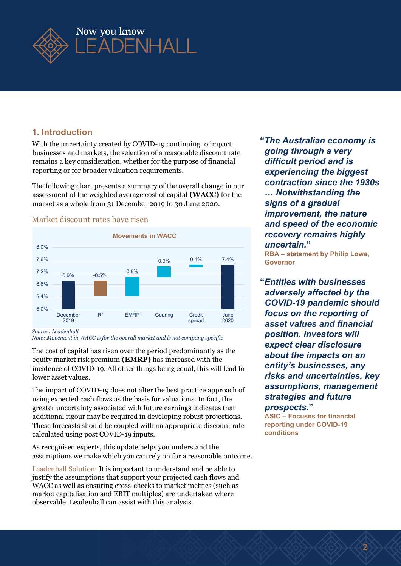

#### 1. Introduction

With the uncertainty created by COVID-19 continuing to impact businesses and markets, the selection of a reasonable discount rate remains a key consideration, whether for the purpose of financial reporting or for broader valuation requirements.

The following chart presents a summary of the overall change in our assessment of the weighted average cost of capital (WACC) for the market as a whole from 31 December 2019 to 30 June 2020.



#### Market discount rates have risen

Source: Leadenhall

Note: Movement in WACC is for the overall market and is not company specific

The cost of capital has risen over the period predominantly as the equity market risk premium (EMRP) has increased with the incidence of COVID-19. All other things being equal, this will lead to lower asset values.

The impact of COVID-19 does not alter the best practice approach of using expected cash flows as the basis for valuations. In fact, the greater uncertainty associated with future earnings indicates that additional rigour may be required in developing robust projections. These forecasts should be coupled with an appropriate discount rate calculated using post COVID-19 inputs.

As recognised experts, this update helps you understand the assumptions we make which you can rely on for a reasonable outcome.

Leadenhall Solution: It is important to understand and be able to justify the assumptions that support your projected cash flows and WACC as well as ensuring cross-checks to market metrics (such as market capitalisation and EBIT multiples) are undertaken where observable. Leadenhall can assist with this analysis.

"The Australian economy is going through a very difficult period and is experiencing the biggest contraction since the 1930s … Notwithstanding the signs of a gradual improvement, the nature and speed of the economic recovery remains highly uncertain." Exercise the COVID 40 produces the COVID 10 produce of COVID 10 produce that the COVID 10 produce that the COVID 10 produce that the COVID 10 produce that the COVID 10 produce that the contraction interperties of the vera

RBA – statement by Philip Lowe, Governor

"Entities with businesses adversely affected by the COVID-19 pandemic should June **focus on the reporting of** spread 2020 **asset values and financial** position. Investors will expect clear disclosure about the impacts on an entity's businesses, any risks and uncertainties, key assumptions, management strategies and future prospects."

> ASIC – Focuses for financial reporting under COVID-19 conditions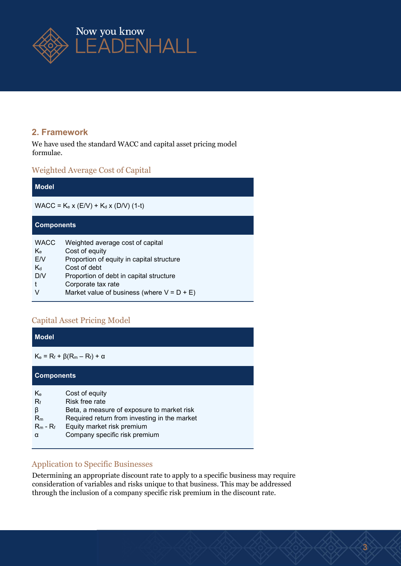

# 2. Framework

We have used the standard WACC and capital asset pricing model formulae.

# Weighted Average Cost of Capital

| <b>Model</b>                                        |                                                                                                                                                                                                                                   |  |  |  |  |
|-----------------------------------------------------|-----------------------------------------------------------------------------------------------------------------------------------------------------------------------------------------------------------------------------------|--|--|--|--|
| $WACC = K_e x (E/V) + K_d x (D/V) (1-t)$            |                                                                                                                                                                                                                                   |  |  |  |  |
| <b>Components</b>                                   |                                                                                                                                                                                                                                   |  |  |  |  |
| <b>WACC</b><br>Ke.<br>EN.<br>$K_d$<br>D/V<br>t<br>V | Weighted average cost of capital<br>Cost of equity<br>Proportion of equity in capital structure<br>Cost of debt<br>Proportion of debt in capital structure<br>Corporate tax rate<br>Market value of business (where $V = D + E$ ) |  |  |  |  |

# Capital Asset Pricing Model

| <b>Model</b>                                  |                                                                                                                                                                                               |  |  |  |
|-----------------------------------------------|-----------------------------------------------------------------------------------------------------------------------------------------------------------------------------------------------|--|--|--|
| $K_e = R_f + \beta(R_m - R_f) + \alpha$       |                                                                                                                                                                                               |  |  |  |
| <b>Components</b>                             |                                                                                                                                                                                               |  |  |  |
| Ke<br>$R_f$<br>β<br>$R_m$<br>$R_m - R_f$<br>α | Cost of equity<br>Risk free rate<br>Beta, a measure of exposure to market risk<br>Required return from investing in the market<br>Equity market risk premium<br>Company specific risk premium |  |  |  |

# Application to Specific Businesses

Determining an appropriate discount rate to apply to a specific business may require consideration of variables and risks unique to that business. This may be addressed through the inclusion of a company specific risk premium in the discount rate.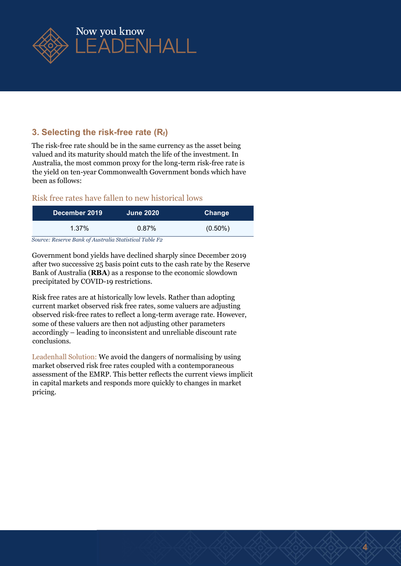

# 3. Selecting the risk-free rate  $(R_f)$

The risk-free rate should be in the same currency as the asset being valued and its maturity should match the life of the investment. In Australia, the most common proxy for the long-term risk-free rate is the yield on ten-year Commonwealth Government bonds which have been as follows:

#### Risk free rates have fallen to new historical lows

| December 2019                                          | <b>June 2020</b> | Change     |  |  |  |
|--------------------------------------------------------|------------------|------------|--|--|--|
| 1.37%                                                  | $0.87\%$         | $(0.50\%)$ |  |  |  |
| Source: Reserve Rank of Australia Statistical Table Fo |                  |            |  |  |  |

Source: Reserve Bank of Australia Statistical Table F2

Government bond yields have declined sharply since December 2019 after two successive 25 basis point cuts to the cash rate by the Reserve Bank of Australia (RBA) as a response to the economic slowdown precipitated by COVID-19 restrictions.

Risk free rates are at historically low levels. Rather than adopting current market observed risk free rates, some valuers are adjusting observed risk-free rates to reflect a long-term average rate. However, some of these valuers are then not adjusting other parameters accordingly – leading to inconsistent and unreliable discount rate conclusions.

Leadenhall Solution: We avoid the dangers of normalising by using market observed risk free rates coupled with a contemporaneous assessment of the EMRP. This better reflects the current views implicit in capital markets and responds more quickly to changes in market pricing.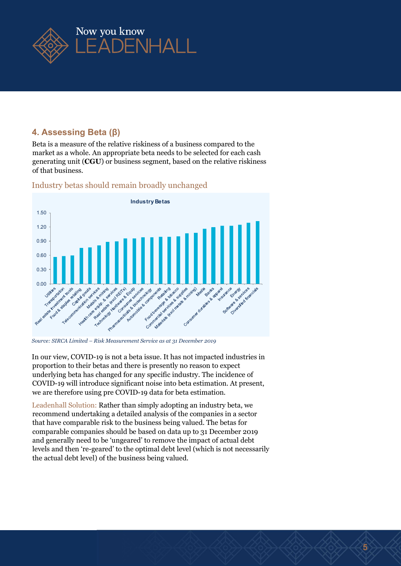

# 4. Assessing Beta (β)

Beta is a measure of the relative riskiness of a business compared to the market as a whole. An appropriate beta needs to be selected for each cash generating unit (CGU) or business segment, based on the relative riskiness of that business.



#### Industry betas should remain broadly unchanged

Source: SIRCA Limited – Risk Measurement Service as at 31 December 2019

In our view, COVID-19 is not a beta issue. It has not impacted industries in proportion to their betas and there is presently no reason to expect underlying beta has changed for any specific industry. The incidence of COVID-19 will introduce significant noise into beta estimation. At present, we are therefore using pre COVID-19 data for beta estimation.

Leadenhall Solution: Rather than simply adopting an industry beta, we recommend undertaking a detailed analysis of the companies in a sector that have comparable risk to the business being valued. The betas for comparable companies should be based on data up to 31 December 2019 and generally need to be 'ungeared' to remove the impact of actual debt levels and then 're-geared' to the optimal debt level (which is not necessarily the actual debt level) of the business being valued.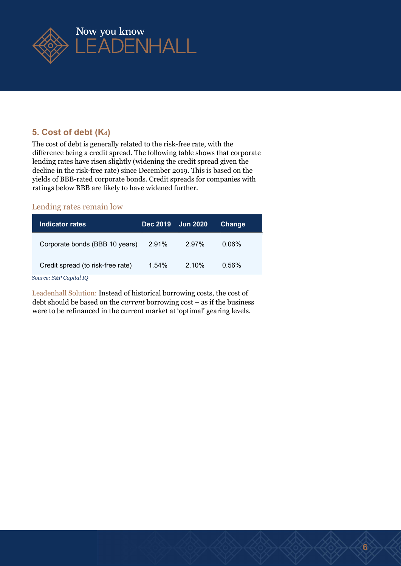

# 5. Cost of debt (Kd)

The cost of debt is generally related to the risk-free rate, with the difference being a credit spread. The following table shows that corporate lending rates have risen slightly (widening the credit spread given the decline in the risk-free rate) since December 2019. This is based on the yields of BBB-rated corporate bonds. Credit spreads for companies with ratings below BBB are likely to have widened further.

#### Lending rates remain low

| Indicator rates.                  | <b>Dec 2019</b> | <b>Jun 2020</b> | Change |  |
|-----------------------------------|-----------------|-----------------|--------|--|
| Corporate bonds (BBB 10 years)    | 2.91%           | 2.97%           | 0.06%  |  |
| Credit spread (to risk-free rate) | 1.54%           | $2.10\%$        | 0.56%  |  |
| Source: S&P Capital IO            |                 |                 |        |  |

Leadenhall Solution: Instead of historical borrowing costs, the cost of debt should be based on the current borrowing cost – as if the business were to be refinanced in the current market at 'optimal' gearing levels.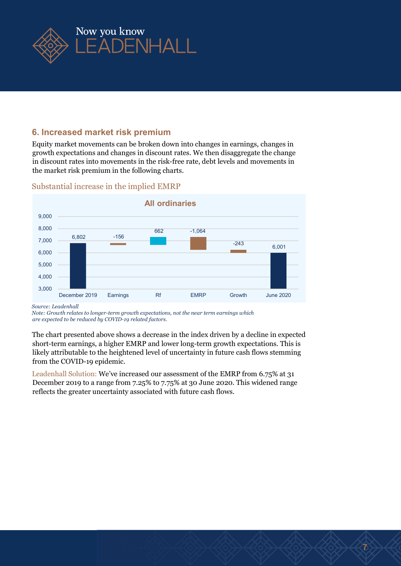

## 6. Increased market risk premium

Equity market movements can be broken down into changes in earnings, changes in growth expectations and changes in discount rates. We then disaggregate the change in discount rates into movements in the risk-free rate, debt levels and movements in the market risk premium in the following charts.



#### Substantial increase in the implied EMRP

Source: Leadenhall

Note: Growth relates to longer-term growth expectations, not the near term earnings which are expected to be reduced by COVID-19 related factors.

The chart presented above shows a decrease in the index driven by a decline in expected short-term earnings, a higher EMRP and lower long-term growth expectations. This is likely attributable to the heightened level of uncertainty in future cash flows stemming from the COVID-19 epidemic.

Leadenhall Solution: We've increased our assessment of the EMRP from 6.75% at 31 December 2019 to a range from 7.25% to 7.75% at 30 June 2020. This widened range reflects the greater uncertainty associated with future cash flows.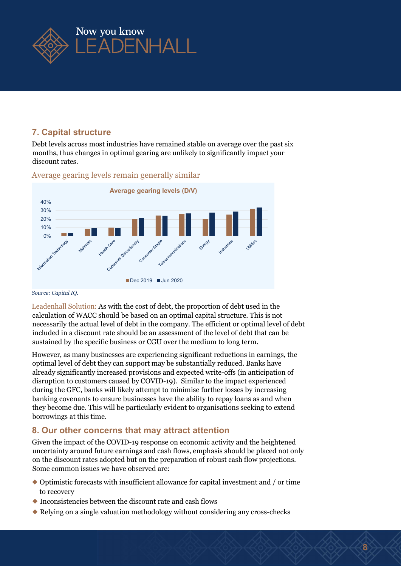

## 7. Capital structure

Debt levels across most industries have remained stable on average over the past six months, thus changes in optimal gearing are unlikely to significantly impact your discount rates.



Average gearing levels remain generally similar

#### Source: Capital IQ.

Leadenhall Solution: As with the cost of debt, the proportion of debt used in the calculation of WACC should be based on an optimal capital structure. This is not necessarily the actual level of debt in the company. The efficient or optimal level of debt included in a discount rate should be an assessment of the level of debt that can be sustained by the specific business or CGU over the medium to long term.

However, as many businesses are experiencing significant reductions in earnings, the optimal level of debt they can support may be substantially reduced. Banks have already significantly increased provisions and expected write-offs (in anticipation of disruption to customers caused by COVID-19). Similar to the impact experienced during the GFC, banks will likely attempt to minimise further losses by increasing banking covenants to ensure businesses have the ability to repay loans as and when they become due. This will be particularly evident to organisations seeking to extend borrowings at this time.

# 8. Our other concerns that may attract attention

Given the impact of the COVID-19 response on economic activity and the heightened uncertainty around future earnings and cash flows, emphasis should be placed not only on the discount rates adopted but on the preparation of robust cash flow projections. Some common issues we have observed are:

- ◆ Optimistic forecasts with insufficient allowance for capital investment and / or time to recovery
- ◆ Inconsistencies between the discount rate and cash flows
- ◆ Relying on a single valuation methodology without considering any cross-checks